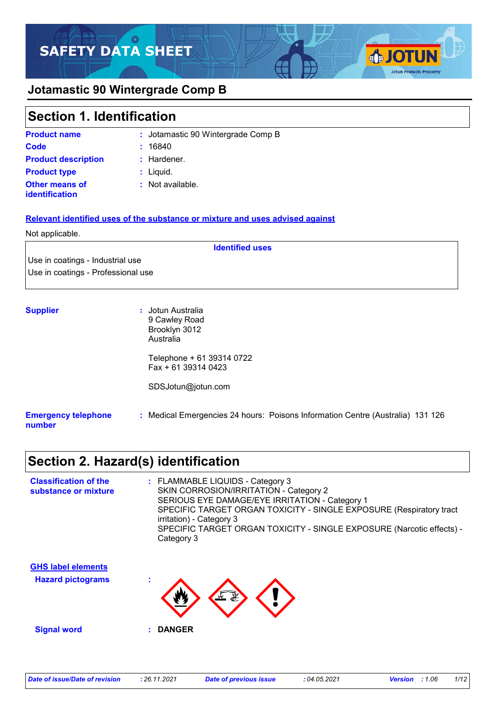# **SAFETY DATA SHEET**

### **Jotamastic 90 Wintergrade Comp B**

### **Section 1. Identification**

| <b>Product name</b>                            | : Jotamastic 90 Wintergrade Comp B |
|------------------------------------------------|------------------------------------|
| Code                                           | : 16840                            |
| <b>Product description</b>                     | $:$ Hardener.                      |
| <b>Product type</b>                            | $:$ Liquid.                        |
| <b>Other means of</b><br><b>identification</b> | : Not available.                   |

#### **Relevant identified uses of the substance or mixture and uses advised against**

#### Not applicable.

Use in coatings - Industrial use Use in coatings - Professional use

| <b>Supplier</b>                      | : Jotun Australia<br>9 Cawley Road<br>Brooklyn 3012<br>Australia               |
|--------------------------------------|--------------------------------------------------------------------------------|
|                                      | Telephone + 61 39314 0722<br>$Fax + 61 39314 0423$                             |
|                                      | SDSJotun@jotun.com                                                             |
| <b>Emergency telephone</b><br>number | : Medical Emergencies 24 hours: Poisons Information Centre (Australia) 131 126 |

**Identified uses**

### **Section 2. Hazard(s) identification**

| <b>Classification of the</b><br>substance or mixture | : FLAMMABLE LIQUIDS - Category 3<br>SKIN CORROSION/IRRITATION - Category 2                                            |
|------------------------------------------------------|-----------------------------------------------------------------------------------------------------------------------|
|                                                      | SERIOUS EYE DAMAGE/EYE IRRITATION - Category 1<br>SPECIFIC TARGET ORGAN TOXICITY - SINGLE EXPOSURE (Respiratory tract |
|                                                      | irritation) - Category 3<br>SPECIFIC TARGET ORGAN TOXICITY - SINGLE EXPOSURE (Narcotic effects) -<br>Category 3       |
| <b>GHS label elements</b>                            |                                                                                                                       |
| <b>Hazard pictograms</b>                             | $\overline{\mathbb{F}}$                                                                                               |
| <b>Signal word</b>                                   | <b>DANGER</b>                                                                                                         |

**SJOTUN** 

**Jotun Protects Property**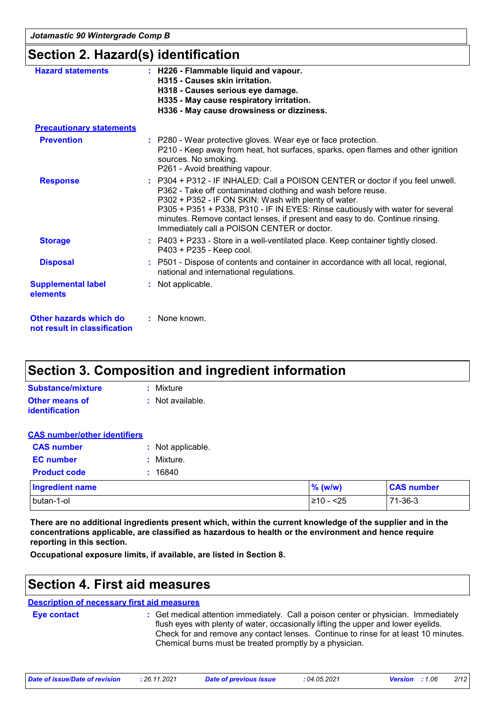*Jotamastic 90 Wintergrade Comp B*

### **Section 2. Hazard(s) identification**

| <b>Hazard statements</b>                               | : H226 - Flammable liquid and vapour.<br>H315 - Causes skin irritation.<br>H318 - Causes serious eye damage.<br>H335 - May cause respiratory irritation.<br>H336 - May cause drowsiness or dizziness.                                                                                                                                                                                                                   |
|--------------------------------------------------------|-------------------------------------------------------------------------------------------------------------------------------------------------------------------------------------------------------------------------------------------------------------------------------------------------------------------------------------------------------------------------------------------------------------------------|
| <b>Precautionary statements</b>                        |                                                                                                                                                                                                                                                                                                                                                                                                                         |
| <b>Prevention</b>                                      | : P280 - Wear protective gloves. Wear eye or face protection.<br>P210 - Keep away from heat, hot surfaces, sparks, open flames and other ignition<br>sources. No smoking.<br>P261 - Avoid breathing vapour.                                                                                                                                                                                                             |
| <b>Response</b>                                        | : P304 + P312 - IF INHALED: Call a POISON CENTER or doctor if you feel unwell.<br>P362 - Take off contaminated clothing and wash before reuse.<br>P302 + P352 - IF ON SKIN: Wash with plenty of water.<br>P305 + P351 + P338, P310 - IF IN EYES: Rinse cautiously with water for several<br>minutes. Remove contact lenses, if present and easy to do. Continue rinsing.<br>Immediately call a POISON CENTER or doctor. |
| <b>Storage</b>                                         | : P403 + P233 - Store in a well-ventilated place. Keep container tightly closed.<br>P403 + P235 - Keep cool.                                                                                                                                                                                                                                                                                                            |
| <b>Disposal</b>                                        | : P501 - Dispose of contents and container in accordance with all local, regional,<br>national and international regulations.                                                                                                                                                                                                                                                                                           |
| <b>Supplemental label</b><br>elements                  | : Not applicable.                                                                                                                                                                                                                                                                                                                                                                                                       |
| Other hazards which do<br>not result in classification | : None known.                                                                                                                                                                                                                                                                                                                                                                                                           |

### **Section 3. Composition and ingredient information**

| Substance/mixture     | : Mixture        |
|-----------------------|------------------|
| <b>Other means of</b> | : Not available. |
| <b>identification</b> |                  |

#### **CAS number/other identifiers**

| <b>CAS number</b>   | : Not applicable. |
|---------------------|-------------------|
| <b>EC</b> number    | : Mixture.        |
| <b>Product code</b> | : 16840           |
| Ingredient name     |                   |
| الماد مستخلف        |                   |

| <b>Ingredient name</b> | $%$ (w/w)      | <b>CAS number</b> |
|------------------------|----------------|-------------------|
| butan-1-ol             | $≥10-$<br>$25$ | 71-36-3           |

**There are no additional ingredients present which, within the current knowledge of the supplier and in the concentrations applicable, are classified as hazardous to health or the environment and hence require reporting in this section.**

**Occupational exposure limits, if available, are listed in Section 8.**

### **Section 4. First aid measures**

### **Description of necessary first aid measures**

**Eye contact :**

: Get medical attention immediately. Call a poison center or physician. Immediately flush eyes with plenty of water, occasionally lifting the upper and lower eyelids. Check for and remove any contact lenses. Continue to rinse for at least 10 minutes. Chemical burns must be treated promptly by a physician.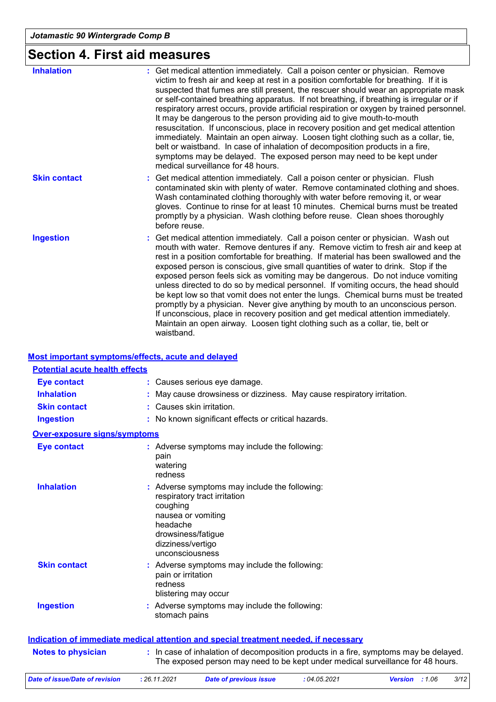# **Section 4. First aid measures**

| <b>Inhalation</b>   | : Get medical attention immediately. Call a poison center or physician. Remove<br>victim to fresh air and keep at rest in a position comfortable for breathing. If it is<br>suspected that fumes are still present, the rescuer should wear an appropriate mask<br>or self-contained breathing apparatus. If not breathing, if breathing is irregular or if<br>respiratory arrest occurs, provide artificial respiration or oxygen by trained personnel.<br>It may be dangerous to the person providing aid to give mouth-to-mouth<br>resuscitation. If unconscious, place in recovery position and get medical attention<br>immediately. Maintain an open airway. Loosen tight clothing such as a collar, tie,<br>belt or waistband. In case of inhalation of decomposition products in a fire,<br>symptoms may be delayed. The exposed person may need to be kept under<br>medical surveillance for 48 hours. |
|---------------------|-----------------------------------------------------------------------------------------------------------------------------------------------------------------------------------------------------------------------------------------------------------------------------------------------------------------------------------------------------------------------------------------------------------------------------------------------------------------------------------------------------------------------------------------------------------------------------------------------------------------------------------------------------------------------------------------------------------------------------------------------------------------------------------------------------------------------------------------------------------------------------------------------------------------|
| <b>Skin contact</b> | Get medical attention immediately. Call a poison center or physician. Flush<br>contaminated skin with plenty of water. Remove contaminated clothing and shoes.<br>Wash contaminated clothing thoroughly with water before removing it, or wear<br>gloves. Continue to rinse for at least 10 minutes. Chemical burns must be treated<br>promptly by a physician. Wash clothing before reuse. Clean shoes thoroughly<br>before reuse.                                                                                                                                                                                                                                                                                                                                                                                                                                                                             |
| <b>Ingestion</b>    | Get medical attention immediately. Call a poison center or physician. Wash out<br>mouth with water. Remove dentures if any. Remove victim to fresh air and keep at<br>rest in a position comfortable for breathing. If material has been swallowed and the<br>exposed person is conscious, give small quantities of water to drink. Stop if the<br>exposed person feels sick as vomiting may be dangerous. Do not induce vomiting<br>unless directed to do so by medical personnel. If vomiting occurs, the head should<br>be kept low so that vomit does not enter the lungs. Chemical burns must be treated<br>promptly by a physician. Never give anything by mouth to an unconscious person.<br>If unconscious, place in recovery position and get medical attention immediately.<br>Maintain an open airway. Loosen tight clothing such as a collar, tie, belt or<br>waistband.                            |

#### **Most important symptoms/effects, acute and delayed**

| <b>Potential acute health effects</b> |                                                                                                                                                                                           |
|---------------------------------------|-------------------------------------------------------------------------------------------------------------------------------------------------------------------------------------------|
| <b>Eye contact</b>                    | : Causes serious eye damage.                                                                                                                                                              |
| <b>Inhalation</b>                     | : May cause drowsiness or dizziness. May cause respiratory irritation.                                                                                                                    |
| <b>Skin contact</b>                   | : Causes skin irritation.                                                                                                                                                                 |
| <b>Ingestion</b>                      | : No known significant effects or critical hazards.                                                                                                                                       |
| <b>Over-exposure signs/symptoms</b>   |                                                                                                                                                                                           |
| <b>Eye contact</b>                    | : Adverse symptoms may include the following:<br>pain<br>watering<br>redness                                                                                                              |
| <b>Inhalation</b>                     | : Adverse symptoms may include the following:<br>respiratory tract irritation<br>coughing<br>nausea or vomiting<br>headache<br>drowsiness/fatigue<br>dizziness/vertigo<br>unconsciousness |
| <b>Skin contact</b>                   | : Adverse symptoms may include the following:<br>pain or irritation<br>redness<br>blistering may occur                                                                                    |
| <b>Ingestion</b>                      | : Adverse symptoms may include the following:<br>stomach pains                                                                                                                            |
|                                       | Indication of immediate medical attention and special treatment needed, if necessary                                                                                                      |
| <b>Notes to physician</b>             | : In case of inhalation of decomposition products in a fire, symptoms may be delayed.<br>The exposed person may need to be kept under medical surveillance for 48 hours.                  |
| <b>Date of issue/Date of revision</b> | : 26.11.2021<br>: 04.05.2021<br>3/12<br><b>Date of previous issue</b><br><b>Version</b> : 1.06                                                                                            |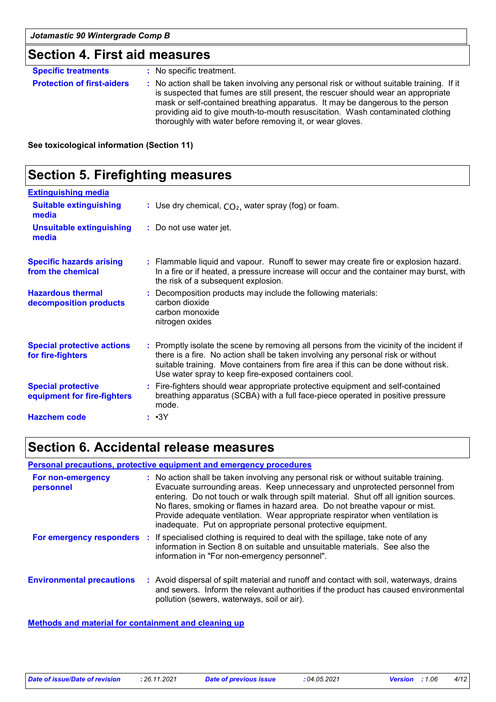### **Section 4. First aid measures**

| <b>Specific treatments</b>        | : No specific treatment.                                                                                                                                                                                                                                                                                                                                                                                        |
|-----------------------------------|-----------------------------------------------------------------------------------------------------------------------------------------------------------------------------------------------------------------------------------------------------------------------------------------------------------------------------------------------------------------------------------------------------------------|
| <b>Protection of first-aiders</b> | : No action shall be taken involving any personal risk or without suitable training. If it<br>is suspected that fumes are still present, the rescuer should wear an appropriate<br>mask or self-contained breathing apparatus. It may be dangerous to the person<br>providing aid to give mouth-to-mouth resuscitation. Wash contaminated clothing<br>thoroughly with water before removing it, or wear gloves. |

**See toxicological information (Section 11)**

### **Section 5. Firefighting measures**

| <b>Extinguishing media</b>                               |                                                                                                                                                                                                                                                                                                                               |
|----------------------------------------------------------|-------------------------------------------------------------------------------------------------------------------------------------------------------------------------------------------------------------------------------------------------------------------------------------------------------------------------------|
| <b>Suitable extinguishing</b><br>media                   | : Use dry chemical, $CO2$ , water spray (fog) or foam.                                                                                                                                                                                                                                                                        |
| <b>Unsuitable extinguishing</b><br>media                 | : Do not use water jet.                                                                                                                                                                                                                                                                                                       |
| <b>Specific hazards arising</b><br>from the chemical     | : Flammable liquid and vapour. Runoff to sewer may create fire or explosion hazard.<br>In a fire or if heated, a pressure increase will occur and the container may burst, with<br>the risk of a subsequent explosion.                                                                                                        |
| <b>Hazardous thermal</b><br>decomposition products       | : Decomposition products may include the following materials:<br>carbon dioxide<br>carbon monoxide<br>nitrogen oxides                                                                                                                                                                                                         |
| <b>Special protective actions</b><br>for fire-fighters   | : Promptly isolate the scene by removing all persons from the vicinity of the incident if<br>there is a fire. No action shall be taken involving any personal risk or without<br>suitable training. Move containers from fire area if this can be done without risk.<br>Use water spray to keep fire-exposed containers cool. |
| <b>Special protective</b><br>equipment for fire-fighters | : Fire-fighters should wear appropriate protective equipment and self-contained<br>breathing apparatus (SCBA) with a full face-piece operated in positive pressure<br>mode.                                                                                                                                                   |
| <b>Hazchem code</b>                                      | : •3Y                                                                                                                                                                                                                                                                                                                         |

### **Section 6. Accidental release measures**

#### **Personal precautions, protective equipment and emergency procedures**

| For non-emergency<br>personnel   | : No action shall be taken involving any personal risk or without suitable training.<br>Evacuate surrounding areas. Keep unnecessary and unprotected personnel from<br>entering. Do not touch or walk through spilt material. Shut off all ignition sources.<br>No flares, smoking or flames in hazard area. Do not breathe vapour or mist.<br>Provide adequate ventilation. Wear appropriate respirator when ventilation is<br>inadequate. Put on appropriate personal protective equipment. |
|----------------------------------|-----------------------------------------------------------------------------------------------------------------------------------------------------------------------------------------------------------------------------------------------------------------------------------------------------------------------------------------------------------------------------------------------------------------------------------------------------------------------------------------------|
| For emergency responders :       | If specialised clothing is required to deal with the spillage, take note of any<br>information in Section 8 on suitable and unsuitable materials. See also the<br>information in "For non-emergency personnel".                                                                                                                                                                                                                                                                               |
| <b>Environmental precautions</b> | : Avoid dispersal of spilt material and runoff and contact with soil, waterways, drains<br>and sewers. Inform the relevant authorities if the product has caused environmental<br>pollution (sewers, waterways, soil or air).                                                                                                                                                                                                                                                                 |

#### **Methods and material for containment and cleaning up**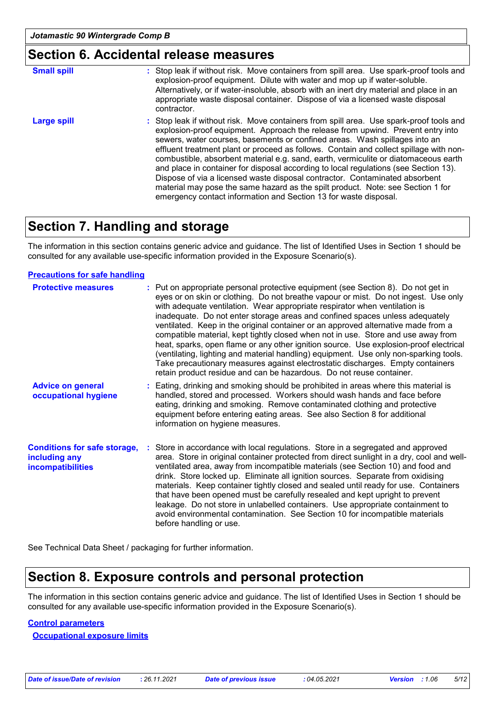### **Section 6. Accidental release measures**

| <b>Small spill</b> | : Stop leak if without risk. Move containers from spill area. Use spark-proof tools and<br>explosion-proof equipment. Dilute with water and mop up if water-soluble.<br>Alternatively, or if water-insoluble, absorb with an inert dry material and place in an<br>appropriate waste disposal container. Dispose of via a licensed waste disposal<br>contractor.                                                                                                                                                                                                                                                                                                                                                                                                        |
|--------------------|-------------------------------------------------------------------------------------------------------------------------------------------------------------------------------------------------------------------------------------------------------------------------------------------------------------------------------------------------------------------------------------------------------------------------------------------------------------------------------------------------------------------------------------------------------------------------------------------------------------------------------------------------------------------------------------------------------------------------------------------------------------------------|
| <b>Large spill</b> | : Stop leak if without risk. Move containers from spill area. Use spark-proof tools and<br>explosion-proof equipment. Approach the release from upwind. Prevent entry into<br>sewers, water courses, basements or confined areas. Wash spillages into an<br>effluent treatment plant or proceed as follows. Contain and collect spillage with non-<br>combustible, absorbent material e.g. sand, earth, vermiculite or diatomaceous earth<br>and place in container for disposal according to local regulations (see Section 13).<br>Dispose of via a licensed waste disposal contractor. Contaminated absorbent<br>material may pose the same hazard as the spilt product. Note: see Section 1 for<br>emergency contact information and Section 13 for waste disposal. |

### **Section 7. Handling and storage**

The information in this section contains generic advice and guidance. The list of Identified Uses in Section 1 should be consulted for any available use-specific information provided in the Exposure Scenario(s).

#### **Precautions for safe handling**

| <b>Protective measures</b>                                                       | : Put on appropriate personal protective equipment (see Section 8). Do not get in<br>eyes or on skin or clothing. Do not breathe vapour or mist. Do not ingest. Use only<br>with adequate ventilation. Wear appropriate respirator when ventilation is<br>inadequate. Do not enter storage areas and confined spaces unless adequately<br>ventilated. Keep in the original container or an approved alternative made from a<br>compatible material, kept tightly closed when not in use. Store and use away from<br>heat, sparks, open flame or any other ignition source. Use explosion-proof electrical<br>(ventilating, lighting and material handling) equipment. Use only non-sparking tools.<br>Take precautionary measures against electrostatic discharges. Empty containers<br>retain product residue and can be hazardous. Do not reuse container. |
|----------------------------------------------------------------------------------|--------------------------------------------------------------------------------------------------------------------------------------------------------------------------------------------------------------------------------------------------------------------------------------------------------------------------------------------------------------------------------------------------------------------------------------------------------------------------------------------------------------------------------------------------------------------------------------------------------------------------------------------------------------------------------------------------------------------------------------------------------------------------------------------------------------------------------------------------------------|
| <b>Advice on general</b><br>occupational hygiene                                 | : Eating, drinking and smoking should be prohibited in areas where this material is<br>handled, stored and processed. Workers should wash hands and face before<br>eating, drinking and smoking. Remove contaminated clothing and protective<br>equipment before entering eating areas. See also Section 8 for additional<br>information on hygiene measures.                                                                                                                                                                                                                                                                                                                                                                                                                                                                                                |
| <b>Conditions for safe storage,</b><br>including any<br><b>incompatibilities</b> | : Store in accordance with local regulations. Store in a segregated and approved<br>area. Store in original container protected from direct sunlight in a dry, cool and well-<br>ventilated area, away from incompatible materials (see Section 10) and food and<br>drink. Store locked up. Eliminate all ignition sources. Separate from oxidising<br>materials. Keep container tightly closed and sealed until ready for use. Containers<br>that have been opened must be carefully resealed and kept upright to prevent<br>leakage. Do not store in unlabelled containers. Use appropriate containment to<br>avoid environmental contamination. See Section 10 for incompatible materials<br>before handling or use.                                                                                                                                      |

See Technical Data Sheet / packaging for further information.

### **Section 8. Exposure controls and personal protection**

The information in this section contains generic advice and guidance. The list of Identified Uses in Section 1 should be consulted for any available use-specific information provided in the Exposure Scenario(s).

#### **Control parameters**

**Occupational exposure limits**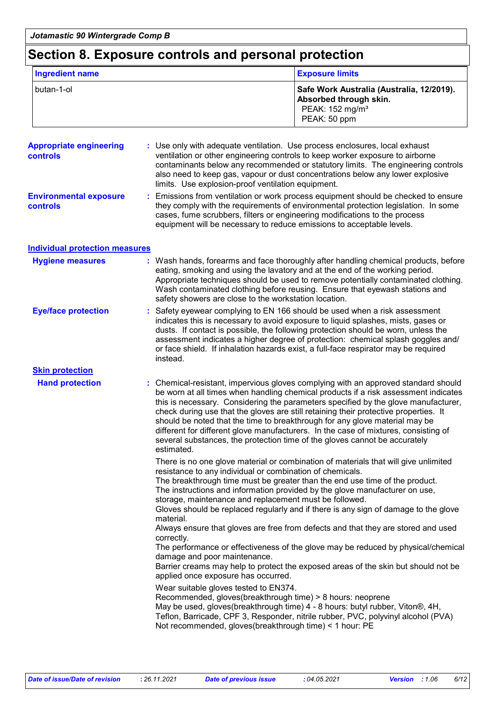### **Section 8. Exposure controls and personal protection**

| <b>Ingredient name</b>                     |                                                                                                                                         | <b>Exposure limits</b>                                                                                                                                                                                                                                                                                                                                                                                                                                                                                                                                                                                    |  |  |
|--------------------------------------------|-----------------------------------------------------------------------------------------------------------------------------------------|-----------------------------------------------------------------------------------------------------------------------------------------------------------------------------------------------------------------------------------------------------------------------------------------------------------------------------------------------------------------------------------------------------------------------------------------------------------------------------------------------------------------------------------------------------------------------------------------------------------|--|--|
| butan-1-ol                                 |                                                                                                                                         | Safe Work Australia (Australia, 12/2019).<br>Absorbed through skin.<br>PEAK: 152 mg/m <sup>3</sup><br>PEAK: 50 ppm                                                                                                                                                                                                                                                                                                                                                                                                                                                                                        |  |  |
| <b>Appropriate engineering</b><br>controls | limits. Use explosion-proof ventilation equipment.                                                                                      | Use only with adequate ventilation. Use process enclosures, local exhaust<br>ventilation or other engineering controls to keep worker exposure to airborne<br>contaminants below any recommended or statutory limits. The engineering controls<br>also need to keep gas, vapour or dust concentrations below any lower explosive                                                                                                                                                                                                                                                                          |  |  |
| <b>Environmental exposure</b><br>controls  |                                                                                                                                         | Emissions from ventilation or work process equipment should be checked to ensure<br>they comply with the requirements of environmental protection legislation. In some<br>cases, fume scrubbers, filters or engineering modifications to the process<br>equipment will be necessary to reduce emissions to acceptable levels.                                                                                                                                                                                                                                                                             |  |  |
| <b>Individual protection measures</b>      |                                                                                                                                         |                                                                                                                                                                                                                                                                                                                                                                                                                                                                                                                                                                                                           |  |  |
| <b>Hygiene measures</b>                    | safety showers are close to the workstation location.                                                                                   | : Wash hands, forearms and face thoroughly after handling chemical products, before<br>eating, smoking and using the lavatory and at the end of the working period.<br>Appropriate techniques should be used to remove potentially contaminated clothing.<br>Wash contaminated clothing before reusing. Ensure that eyewash stations and                                                                                                                                                                                                                                                                  |  |  |
| <b>Eye/face protection</b>                 | instead.                                                                                                                                | Safety eyewear complying to EN 166 should be used when a risk assessment<br>indicates this is necessary to avoid exposure to liquid splashes, mists, gases or<br>dusts. If contact is possible, the following protection should be worn, unless the<br>assessment indicates a higher degree of protection: chemical splash goggles and/<br>or face shield. If inhalation hazards exist, a full-face respirator may be required                                                                                                                                                                            |  |  |
| <b>Skin protection</b>                     |                                                                                                                                         |                                                                                                                                                                                                                                                                                                                                                                                                                                                                                                                                                                                                           |  |  |
| <b>Hand protection</b>                     | estimated.                                                                                                                              | Chemical-resistant, impervious gloves complying with an approved standard should<br>be worn at all times when handling chemical products if a risk assessment indicates<br>this is necessary. Considering the parameters specified by the glove manufacturer,<br>check during use that the gloves are still retaining their protective properties. It<br>should be noted that the time to breakthrough for any glove material may be<br>different for different glove manufacturers. In the case of mixtures, consisting of<br>several substances, the protection time of the gloves cannot be accurately |  |  |
|                                            | resistance to any individual or combination of chemicals.<br>storage, maintenance and replacement must be followed.                     | There is no one glove material or combination of materials that will give unlimited<br>The breakthrough time must be greater than the end use time of the product.<br>The instructions and information provided by the glove manufacturer on use,<br>Gloves should be replaced regularly and if there is any sign of damage to the glove                                                                                                                                                                                                                                                                  |  |  |
|                                            | material.<br>correctly.<br>damage and poor maintenance.                                                                                 | Always ensure that gloves are free from defects and that they are stored and used<br>The performance or effectiveness of the glove may be reduced by physical/chemical<br>Barrier creams may help to protect the exposed areas of the skin but should not be                                                                                                                                                                                                                                                                                                                                              |  |  |
|                                            | applied once exposure has occurred.<br>Wear suitable gloves tested to EN374.<br>Not recommended, gloves(breakthrough time) < 1 hour: PE | Recommended, gloves(breakthrough time) > 8 hours: neoprene<br>May be used, gloves(breakthrough time) 4 - 8 hours: butyl rubber, Viton®, 4H,<br>Teflon, Barricade, CPF 3, Responder, nitrile rubber, PVC, polyvinyl alcohol (PVA)                                                                                                                                                                                                                                                                                                                                                                          |  |  |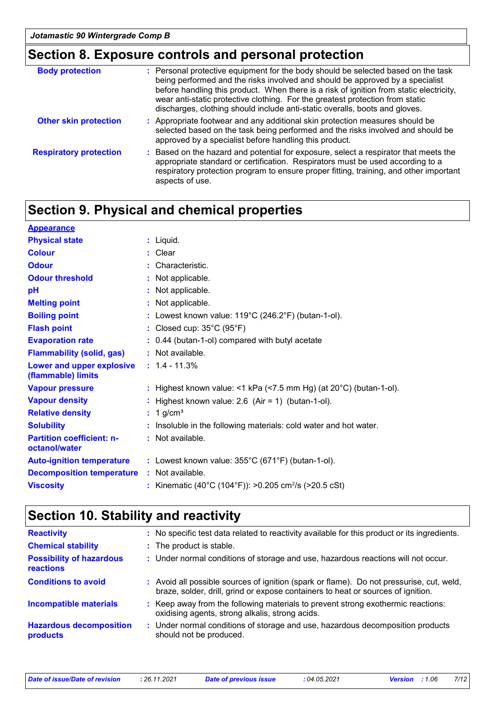## **Section 8. Exposure controls and personal protection**

| <b>Body protection</b>        | : Personal protective equipment for the body should be selected based on the task<br>being performed and the risks involved and should be approved by a specialist<br>before handling this product. When there is a risk of ignition from static electricity,<br>wear anti-static protective clothing. For the greatest protection from static<br>discharges, clothing should include anti-static overalls, boots and gloves. |
|-------------------------------|-------------------------------------------------------------------------------------------------------------------------------------------------------------------------------------------------------------------------------------------------------------------------------------------------------------------------------------------------------------------------------------------------------------------------------|
| <b>Other skin protection</b>  | : Appropriate footwear and any additional skin protection measures should be<br>selected based on the task being performed and the risks involved and should be<br>approved by a specialist before handling this product.                                                                                                                                                                                                     |
| <b>Respiratory protection</b> | : Based on the hazard and potential for exposure, select a respirator that meets the<br>appropriate standard or certification. Respirators must be used according to a<br>respiratory protection program to ensure proper fitting, training, and other important<br>aspects of use.                                                                                                                                           |

### **Section 9. Physical and chemical properties**

| $:$ Liquid.                                                                  |
|------------------------------------------------------------------------------|
| : Clear                                                                      |
| : Characteristic.                                                            |
| : Not applicable.                                                            |
| : Not applicable.                                                            |
| : Not applicable.                                                            |
| : Lowest known value: $119^{\circ}$ C (246.2°F) (butan-1-ol).                |
| : Closed cup: $35^{\circ}$ C (95 $^{\circ}$ F)                               |
| : 0.44 (butan-1-ol) compared with butyl acetate                              |
| : Not available.                                                             |
| $: 1.4 - 11.3%$                                                              |
| : Highest known value: <1 kPa (<7.5 mm Hg) (at $20^{\circ}$ C) (butan-1-ol). |
| : Highest known value: $2.6$ (Air = 1) (butan-1-ol).                         |
| $: 1$ g/cm <sup>3</sup>                                                      |
| Insoluble in the following materials: cold water and hot water.              |
| : Not available.                                                             |
| : Lowest known value: $355^{\circ}$ C (671°F) (butan-1-ol).                  |
| : Not available.                                                             |
| : Kinematic (40°C (104°F)): >0.205 cm <sup>2</sup> /s (>20.5 cSt)            |
|                                                                              |

### **Section 10. Stability and reactivity**

| <b>Reactivity</b>                            | : No specific test data related to reactivity available for this product or its ingredients.                                                                                 |
|----------------------------------------------|------------------------------------------------------------------------------------------------------------------------------------------------------------------------------|
| <b>Chemical stability</b>                    | : The product is stable.                                                                                                                                                     |
| <b>Possibility of hazardous</b><br>reactions | : Under normal conditions of storage and use, hazardous reactions will not occur.                                                                                            |
| <b>Conditions to avoid</b>                   | : Avoid all possible sources of ignition (spark or flame). Do not pressurise, cut, weld,<br>braze, solder, drill, grind or expose containers to heat or sources of ignition. |
| <b>Incompatible materials</b>                | : Keep away from the following materials to prevent strong exothermic reactions:<br>oxidising agents, strong alkalis, strong acids.                                          |
| <b>Hazardous decomposition</b><br>products   | : Under normal conditions of storage and use, hazardous decomposition products<br>should not be produced.                                                                    |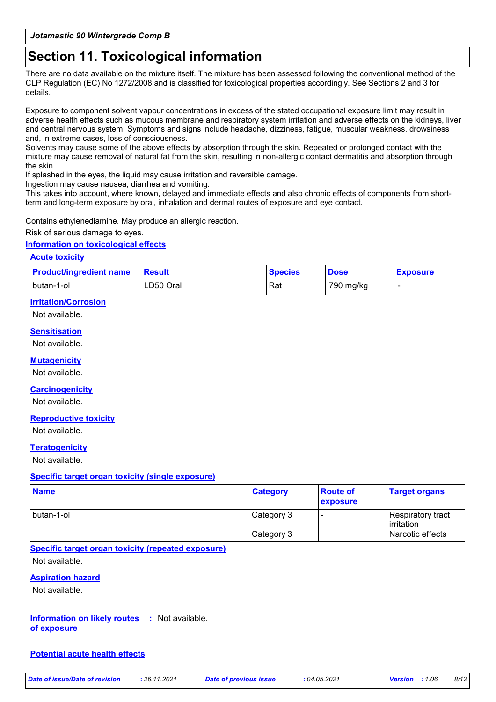### **Section 11. Toxicological information**

There are no data available on the mixture itself. The mixture has been assessed following the conventional method of the CLP Regulation (EC) No 1272/2008 and is classified for toxicological properties accordingly. See Sections 2 and 3 for details.

Exposure to component solvent vapour concentrations in excess of the stated occupational exposure limit may result in adverse health effects such as mucous membrane and respiratory system irritation and adverse effects on the kidneys, liver and central nervous system. Symptoms and signs include headache, dizziness, fatigue, muscular weakness, drowsiness and, in extreme cases, loss of consciousness.

Solvents may cause some of the above effects by absorption through the skin. Repeated or prolonged contact with the mixture may cause removal of natural fat from the skin, resulting in non-allergic contact dermatitis and absorption through the skin.

If splashed in the eyes, the liquid may cause irritation and reversible damage.

Ingestion may cause nausea, diarrhea and vomiting.

This takes into account, where known, delayed and immediate effects and also chronic effects of components from shortterm and long-term exposure by oral, inhalation and dermal routes of exposure and eye contact.

Contains ethylenediamine. May produce an allergic reaction.

#### Risk of serious damage to eyes.

#### **Information on toxicological effects**

#### **Acute toxicity**

| <b>Product/ingredient name</b> | <b>Result</b> | <b>Species</b> | <b>Dose</b> | <b>Exposure</b> |
|--------------------------------|---------------|----------------|-------------|-----------------|
| Ibutan-1-ol                    | LD50 Oral     | Rat            | 790 mg/kg   |                 |

#### **Irritation/Corrosion**

Not available.

#### **Sensitisation**

Not available.

#### **Mutagenicity**

Not available.

#### **Carcinogenicity**

Not available.

#### **Reproductive toxicity**

Not available.

#### **Teratogenicity**

Not available.

#### **Specific target organ toxicity (single exposure)**

| <b>Name</b> | <b>Category</b> | <b>Route of</b><br>exposure | <b>Target organs</b>            |
|-------------|-----------------|-----------------------------|---------------------------------|
| Ibutan-1-ol | Category 3      |                             | Respiratory tract<br>irritation |
|             | Category 3      |                             | Narcotic effects                |

#### **Specific target organ toxicity (repeated exposure)**

Not available.

#### **Aspiration hazard**

Not available.

**Information on likely routes :** Not available. **of exposure**

#### **Potential acute health effects**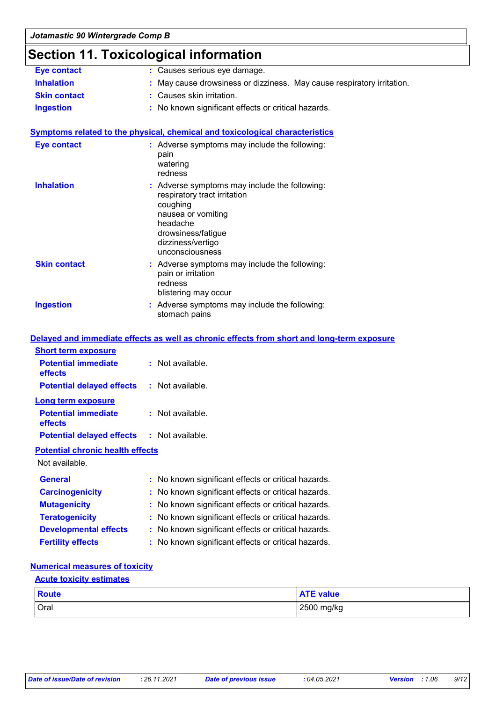### **Section 11. Toxicological information**

| <b>Eye contact</b>  | : Causes serious eye damage.                                           |
|---------------------|------------------------------------------------------------------------|
| <b>Inhalation</b>   | : May cause drowsiness or dizziness. May cause respiratory irritation. |
| <b>Skin contact</b> | : Causes skin irritation.                                              |
| <b>Ingestion</b>    | : No known significant effects or critical hazards.                    |
|                     |                                                                        |
|                     |                                                                        |

#### **Symptoms related to the physical, chemical and toxicological characteristics**

| <b>Eye contact</b>  | : Adverse symptoms may include the following:<br>pain<br>watering<br>redness                                                                                                              |
|---------------------|-------------------------------------------------------------------------------------------------------------------------------------------------------------------------------------------|
| <b>Inhalation</b>   | : Adverse symptoms may include the following:<br>respiratory tract irritation<br>coughing<br>nausea or vomiting<br>headache<br>drowsiness/fatique<br>dizziness/vertigo<br>unconsciousness |
| <b>Skin contact</b> | : Adverse symptoms may include the following:<br>pain or irritation<br>redness<br>blistering may occur                                                                                    |
| <b>Ingestion</b>    | : Adverse symptoms may include the following:<br>stomach pains                                                                                                                            |

|                                                   | Delayed and immediate effects as well as chronic effects from short and long-term exposure |
|---------------------------------------------------|--------------------------------------------------------------------------------------------|
| <b>Short term exposure</b>                        |                                                                                            |
| <b>Potential immediate</b><br><b>effects</b>      | : Not available.                                                                           |
| <b>Potential delayed effects : Not available.</b> |                                                                                            |
| Long term exposure                                |                                                                                            |
| <b>Potential immediate</b><br>effects             | $:$ Not available.                                                                         |
| <b>Potential delayed effects : Not available.</b> |                                                                                            |
| <b>Potential chronic health effects</b>           |                                                                                            |
| Not available.                                    |                                                                                            |
| <b>General</b>                                    | : No known significant effects or critical hazards.                                        |
| <b>Carcinogenicity</b>                            | : No known significant effects or critical hazards.                                        |
| <b>Mutagenicity</b>                               | : No known significant effects or critical hazards.                                        |
| <b>Teratogenicity</b>                             | : No known significant effects or critical hazards.                                        |
| <b>Developmental effects</b>                      | : No known significant effects or critical hazards.                                        |
| <b>Fertility effects</b>                          | : No known significant effects or critical hazards.                                        |

#### **Numerical measures of toxicity**

#### **Acute toxicity estimates**

| <b>Route</b> | <b>ATE value</b> |
|--------------|------------------|
| <b>Oral</b>  | 2500 mg/kg       |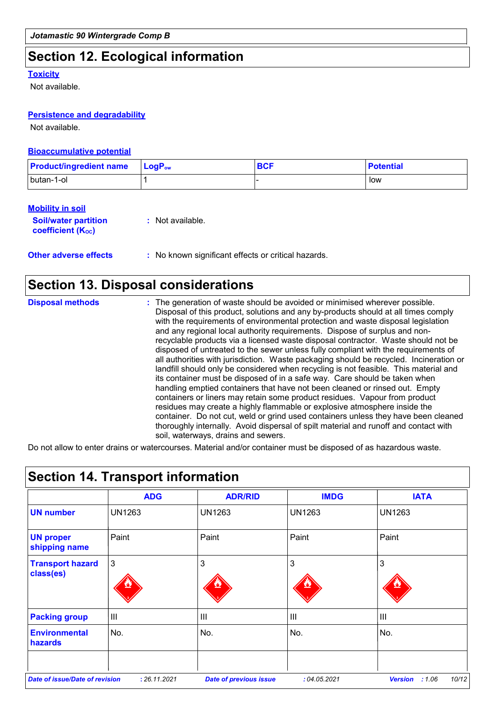### **Section 12. Ecological information**

#### **Toxicity**

Not available.

#### **Persistence and degradability**

Not available.

#### **Bioaccumulative potential**

| <b>Product/ingredient name</b> | $\blacksquare$ Log $\mathsf{P}_{\mathsf{ow}}$ | <b>BCF</b> | <b>Potential</b> |
|--------------------------------|-----------------------------------------------|------------|------------------|
| butan-1-ol                     |                                               |            | low              |

#### **Mobility in soil**

| <b>Soil/water partition</b> | : Not available. |  |  |
|-----------------------------|------------------|--|--|
| <b>coefficient (Koc)</b>    |                  |  |  |

**Other adverse effects** : No known significant effects or critical hazards.

### **Section 13. Disposal considerations**

| <b>Disposal methods</b> | : The generation of waste should be avoided or minimised wherever possible.<br>Disposal of this product, solutions and any by-products should at all times comply<br>with the requirements of environmental protection and waste disposal legislation<br>and any regional local authority requirements. Dispose of surplus and non-<br>recyclable products via a licensed waste disposal contractor. Waste should not be<br>disposed of untreated to the sewer unless fully compliant with the requirements of<br>all authorities with jurisdiction. Waste packaging should be recycled. Incineration or<br>landfill should only be considered when recycling is not feasible. This material and<br>its container must be disposed of in a safe way. Care should be taken when<br>handling emptied containers that have not been cleaned or rinsed out. Empty<br>containers or liners may retain some product residues. Vapour from product<br>residues may create a highly flammable or explosive atmosphere inside the |
|-------------------------|--------------------------------------------------------------------------------------------------------------------------------------------------------------------------------------------------------------------------------------------------------------------------------------------------------------------------------------------------------------------------------------------------------------------------------------------------------------------------------------------------------------------------------------------------------------------------------------------------------------------------------------------------------------------------------------------------------------------------------------------------------------------------------------------------------------------------------------------------------------------------------------------------------------------------------------------------------------------------------------------------------------------------|
|                         | container. Do not cut, weld or grind used containers unless they have been cleaned<br>thoroughly internally. Avoid dispersal of spilt material and runoff and contact with<br>soil, waterways, drains and sewers.                                                                                                                                                                                                                                                                                                                                                                                                                                                                                                                                                                                                                                                                                                                                                                                                        |

Do not allow to enter drains or watercourses. Material and/or container must be disposed of as hazardous waste.

|                                       | <b>ADG</b>    | <b>ADR/RID</b> | <b>IMDG</b>   | <b>IATA</b>   |
|---------------------------------------|---------------|----------------|---------------|---------------|
| <b>UN number</b>                      | <b>UN1263</b> | UN1263         | <b>UN1263</b> | <b>UN1263</b> |
| <b>UN proper</b><br>shipping name     | Paint         | Paint          | Paint         | Paint         |
| <b>Transport hazard</b><br>class(es)  | $\mathbf{3}$  | 3              | 3             | 3             |
| <b>Packing group</b>                  | Ш             | $\mathbf{III}$ | III           | III           |
| <b>Environmental</b><br>hazards       | No.           | No.            | No.           | No.           |
| <b>Date of issue/Date of revision</b> |               |                |               |               |

### **Section 14. Transport information**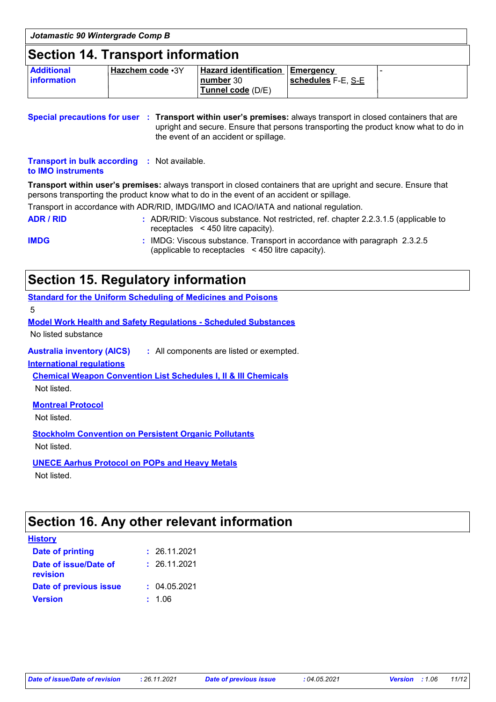| Jotamastic 90 Wintergrade Comp B         |                    |                                                                   |                    |  |
|------------------------------------------|--------------------|-------------------------------------------------------------------|--------------------|--|
| <b>Section 14. Transport information</b> |                    |                                                                   |                    |  |
| <b>Additional</b><br><b>Information</b>  | ' Hazchem code •3Y | Hazard identification Emergency<br>number 30<br>Tunnel code (D/E) | schedules F-E, S-E |  |

**Special precautions for user Transport within user's premises:** always transport in closed containers that are **:** upright and secure. Ensure that persons transporting the product know what to do in the event of an accident or spillage.

**Transport in bulk according :** Not available. **to IMO instruments**

**Transport within user's premises:** always transport in closed containers that are upright and secure. Ensure that persons transporting the product know what to do in the event of an accident or spillage.

Transport in accordance with ADR/RID, IMDG/IMO and ICAO/IATA and national regulation.

**ADR / RID :** ADR/RID: Viscous substance. Not restricted, ref. chapter 2.2.3.1.5 (applicable to receptacles < 450 litre capacity).

**IMDG :** IMDG: Viscous substance. Transport in accordance with paragraph 2.3.2.5 (applicable to receptacles < 450 litre capacity).

### **Section 15. Regulatory information**

**Standard for the Uniform Scheduling of Medicines and Poisons**

5

**Model Work Health and Safety Regulations - Scheduled Substances**

No listed substance

**Australia inventory (AICS) :** All components are listed or exempted.

**International regulations**

**Chemical Weapon Convention List Schedules I, II & III Chemicals**

Not listed.

**Montreal Protocol**

Not listed.

**Stockholm Convention on Persistent Organic Pollutants** Not listed.

**UNECE Aarhus Protocol on POPs and Heavy Metals** Not listed.

### **Section 16. Any other relevant information**

| <b>History</b>                    |              |
|-----------------------------------|--------------|
| <b>Date of printing</b>           | : 26.11.2021 |
| Date of issue/Date of<br>revision | : 26.11.2021 |
| Date of previous issue            | : 04.05.2021 |
| <b>Version</b>                    | : 1.06       |